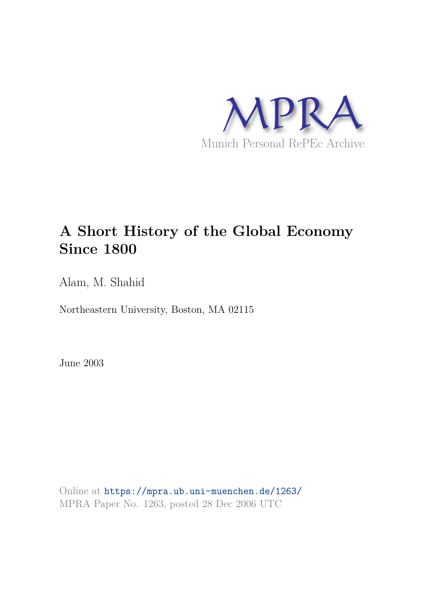

# **A Short History of the Global Economy Since 1800**

Alam, M. Shahid

Northeastern University, Boston, MA 02115

June 2003

Online at https://mpra.ub.uni-muenchen.de/1263/ MPRA Paper No. 1263, posted 28 Dec 2006 UTC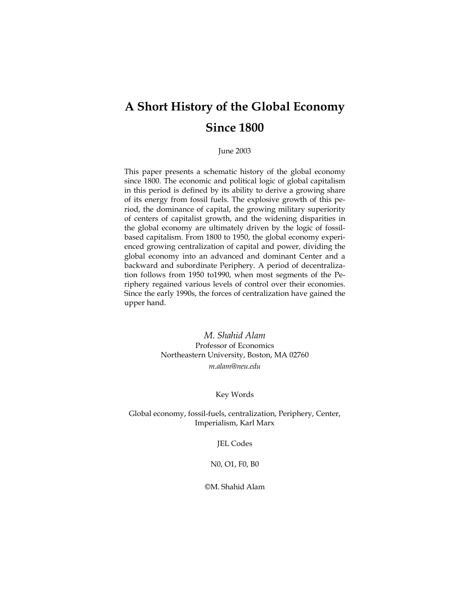# A Short History of the Global Economy Since 1800

#### **June 2003**

This paper presents a schematic history of the global economy since 1800. The economic and political logic of global capitalism in this period is defined by its ability to derive a growing share of its energy from fossil fuels. The explosive growth of this period, the dominance of capital, the growing military superiority of centers of capitalist growth, and the widening disparities in the global economy are ultimately driven by the logic of fossilbased capitalism. From 1800 to 1950, the global economy experienced growing centralization of capital and power, dividing the global economy into an advanced and dominant Center and a backward and subordinate Periphery. A period of decentralization follows from 1950 to1990, when most segments of the Periphery regained various levels of control over their economies. Since the early 1990s, the forces of centralization have gained the upper hand.

> M. Shahid Alam Professor of Economics Northeastern University, Boston, MA 02760 m.alam@neu.edu

### Key Words

Global economy, fossil-fuels, centralization, Periphery, Center, Imperialism, Karl Marx

**JEL Codes** 

N0, O1, F0, B0

©M. Shahid Alam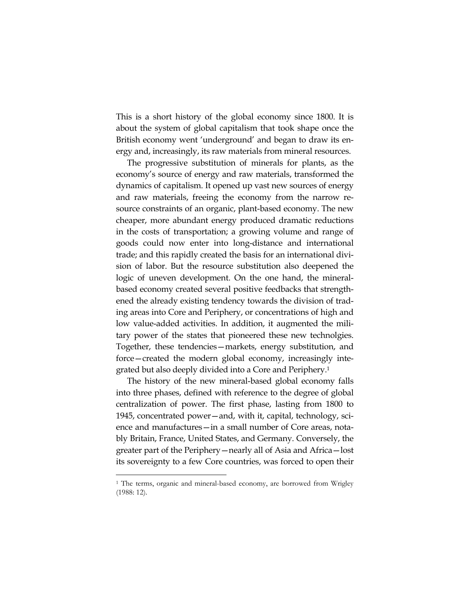This is a short history of the global economy since 1800. It is about the system of global capitalism that took shape once the British economy went 'underground' and began to draw its energy and, increasingly, its raw materials from mineral resources.

The progressive substitution of minerals for plants, as the economy's source of energy and raw materials, transformed the dynamics of capitalism. It opened up vast new sources of energy and raw materials, freeing the economy from the narrow resource constraints of an organic, plant-based economy. The new cheaper, more abundant energy produced dramatic reductions in the costs of transportation; a growing volume and range of goods could now enter into long-distance and international trade; and this rapidly created the basis for an international division of labor. But the resource substitution also deepened the logic of uneven development. On the one hand, the mineralbased economy created several positive feedbacks that strengthened the already existing tendency towards the division of trading areas into Core and Periphery, or concentrations of high and low value-added activities. In addition, it augmented the military power of the states that pioneered these new technolgies. Together, these tendencies-markets, energy substitution, and force-created the modern global economy, increasingly integrated but also deeply divided into a Core and Periphery.<sup>1</sup>

The history of the new mineral-based global economy falls into three phases, defined with reference to the degree of global centralization of power. The first phase, lasting from 1800 to 1945, concentrated power—and, with it, capital, technology, science and manufactures-in a small number of Core areas, notably Britain, France, United States, and Germany. Conversely, the greater part of the Periphery - nearly all of Asia and Africa - lost its sovereignty to a few Core countries, was forced to open their

<sup>&</sup>lt;sup>1</sup> The terms, organic and mineral-based economy, are borrowed from Wrigley  $(1988:12)$ .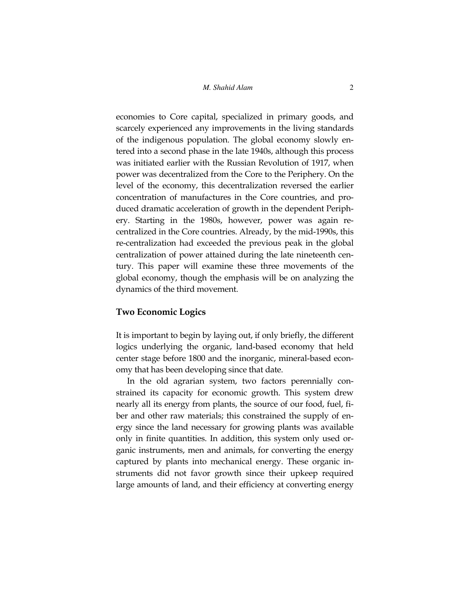economies to Core capital, specialized in primary goods, and scarcely experienced any improvements in the living standards of the indigenous population. The global economy slowly entered into a second phase in the late 1940s, although this process was initiated earlier with the Russian Revolution of 1917, when power was decentralized from the Core to the Periphery. On the level of the economy, this decentralization reversed the earlier concentration of manufactures in the Core countries, and produced dramatic acceleration of growth in the dependent Periphery. Starting in the 1980s, however, power was again recentralized in the Core countries. Already, by the mid-1990s, this re-centralization had exceeded the previous peak in the global centralization of power attained during the late nineteenth century. This paper will examine these three movements of the global economy, though the emphasis will be on analyzing the dynamics of the third movement.

# **Two Economic Logics**

It is important to begin by laying out, if only briefly, the different logics underlying the organic, land-based economy that held center stage before 1800 and the inorganic, mineral-based economy that has been developing since that date.

In the old agrarian system, two factors perennially constrained its capacity for economic growth. This system drew nearly all its energy from plants, the source of our food, fuel, fiber and other raw materials; this constrained the supply of energy since the land necessary for growing plants was available only in finite quantities. In addition, this system only used organic instruments, men and animals, for converting the energy captured by plants into mechanical energy. These organic instruments did not favor growth since their upkeep required large amounts of land, and their efficiency at converting energy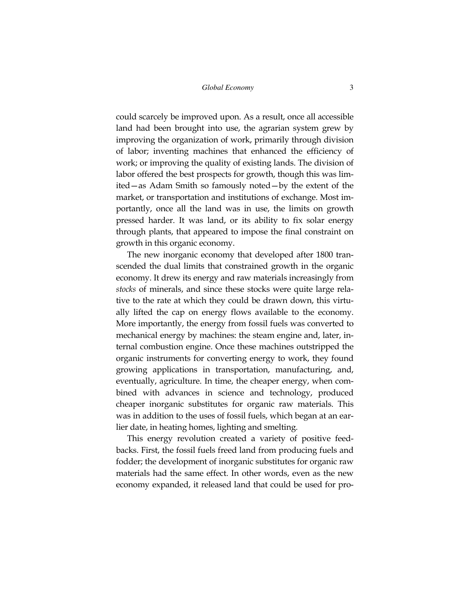could scarcely be improved upon. As a result, once all accessible land had been brought into use, the agrarian system grew by improving the organization of work, primarily through division of labor; inventing machines that enhanced the efficiency of work; or improving the quality of existing lands. The division of labor offered the best prospects for growth, though this was limited — as Adam Smith so famously noted — by the extent of the market, or transportation and institutions of exchange. Most importantly, once all the land was in use, the limits on growth pressed harder. It was land, or its ability to fix solar energy through plants, that appeared to impose the final constraint on growth in this organic economy.

The new inorganic economy that developed after 1800 transcended the dual limits that constrained growth in the organic economy. It drew its energy and raw materials increasingly from stocks of minerals, and since these stocks were quite large relative to the rate at which they could be drawn down, this virtually lifted the cap on energy flows available to the economy. More importantly, the energy from fossil fuels was converted to mechanical energy by machines: the steam engine and, later, internal combustion engine. Once these machines outstripped the organic instruments for converting energy to work, they found growing applications in transportation, manufacturing, and, eventually, agriculture. In time, the cheaper energy, when combined with advances in science and technology, produced cheaper inorganic substitutes for organic raw materials. This was in addition to the uses of fossil fuels, which began at an earlier date, in heating homes, lighting and smelting.

This energy revolution created a variety of positive feedbacks. First, the fossil fuels freed land from producing fuels and fodder; the development of inorganic substitutes for organic raw materials had the same effect. In other words, even as the new economy expanded, it released land that could be used for pro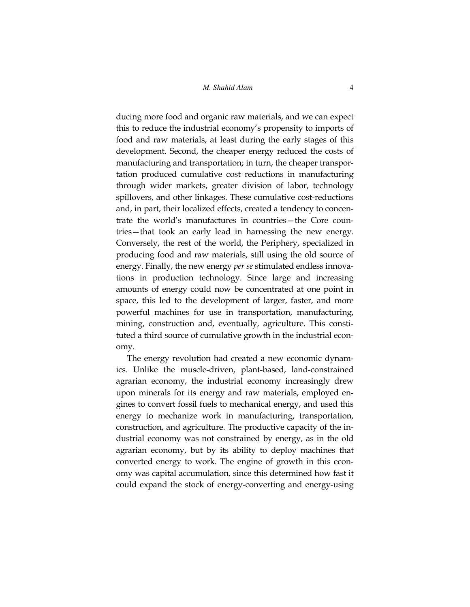ducing more food and organic raw materials, and we can expect this to reduce the industrial economy's propensity to imports of food and raw materials, at least during the early stages of this development. Second, the cheaper energy reduced the costs of manufacturing and transportation; in turn, the cheaper transportation produced cumulative cost reductions in manufacturing through wider markets, greater division of labor, technology spillovers, and other linkages. These cumulative cost-reductions and, in part, their localized effects, created a tendency to concentrate the world's manufactures in countries—the Core countries—that took an early lead in harnessing the new energy. Conversely, the rest of the world, the Periphery, specialized in producing food and raw materials, still using the old source of energy. Finally, the new energy per se stimulated endless innovations in production technology. Since large and increasing amounts of energy could now be concentrated at one point in space, this led to the development of larger, faster, and more powerful machines for use in transportation, manufacturing, mining, construction and, eventually, agriculture. This constituted a third source of cumulative growth in the industrial economy.

The energy revolution had created a new economic dynamics. Unlike the muscle-driven, plant-based, land-constrained agrarian economy, the industrial economy increasingly drew upon minerals for its energy and raw materials, employed engines to convert fossil fuels to mechanical energy, and used this energy to mechanize work in manufacturing, transportation, construction, and agriculture. The productive capacity of the industrial economy was not constrained by energy, as in the old agrarian economy, but by its ability to deploy machines that converted energy to work. The engine of growth in this economy was capital accumulation, since this determined how fast it could expand the stock of energy-converting and energy-using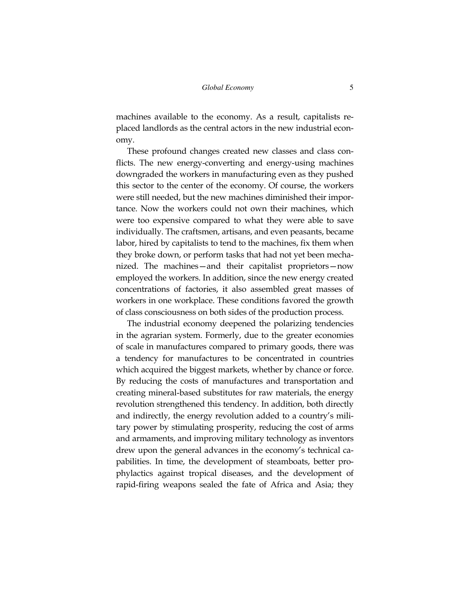#### **Global Economy**

machines available to the economy. As a result, capitalists replaced landlords as the central actors in the new industrial economy.

These profound changes created new classes and class conflicts. The new energy-converting and energy-using machines downgraded the workers in manufacturing even as they pushed this sector to the center of the economy. Of course, the workers were still needed, but the new machines diminished their importance. Now the workers could not own their machines, which were too expensive compared to what they were able to save individually. The craftsmen, artisans, and even peasants, became labor, hired by capitalists to tend to the machines, fix them when they broke down, or perform tasks that had not yet been mechanized. The machines-and their capitalist proprietors-now employed the workers. In addition, since the new energy created concentrations of factories, it also assembled great masses of workers in one workplace. These conditions favored the growth of class consciousness on both sides of the production process.

The industrial economy deepened the polarizing tendencies in the agrarian system. Formerly, due to the greater economies of scale in manufactures compared to primary goods, there was a tendency for manufactures to be concentrated in countries which acquired the biggest markets, whether by chance or force. By reducing the costs of manufactures and transportation and creating mineral-based substitutes for raw materials, the energy revolution strengthened this tendency. In addition, both directly and indirectly, the energy revolution added to a country's military power by stimulating prosperity, reducing the cost of arms and armaments, and improving military technology as inventors drew upon the general advances in the economy's technical capabilities. In time, the development of steamboats, better prophylactics against tropical diseases, and the development of rapid-firing weapons sealed the fate of Africa and Asia; they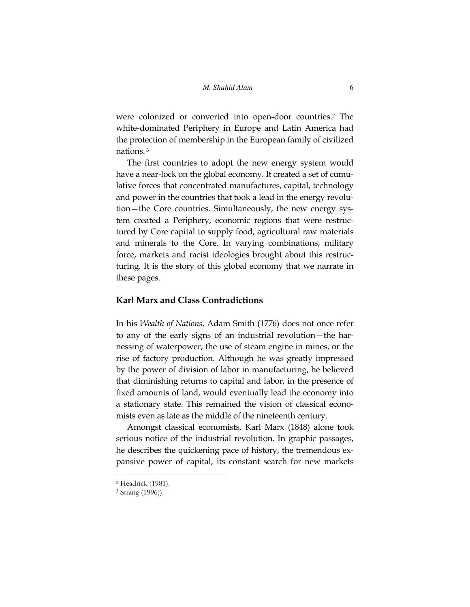were colonized or converted into open-door countries.<sup>2</sup> The white-dominated Periphery in Europe and Latin America had the protection of membership in the European family of civilized nations.<sup>3</sup>

The first countries to adopt the new energy system would have a near-lock on the global economy. It created a set of cumulative forces that concentrated manufactures, capital, technology and power in the countries that took a lead in the energy revolution-the Core countries. Simultaneously, the new energy system created a Periphery, economic regions that were restructured by Core capital to supply food, agricultural raw materials and minerals to the Core. In varying combinations, military force, markets and racist ideologies brought about this restructuring. It is the story of this global economy that we narrate in these pages.

# **Karl Marx and Class Contradictions**

In his Wealth of Nations, Adam Smith (1776) does not once refer to any of the early signs of an industrial revolution-the harnessing of waterpower, the use of steam engine in mines, or the rise of factory production. Although he was greatly impressed by the power of division of labor in manufacturing, he believed that diminishing returns to capital and labor, in the presence of fixed amounts of land, would eventually lead the economy into a stationary state. This remained the vision of classical economists even as late as the middle of the nineteenth century.

Amongst classical economists, Karl Marx (1848) alone took serious notice of the industrial revolution. In graphic passages, he describes the quickening pace of history, the tremendous expansive power of capital, its constant search for new markets

<sup>&</sup>lt;sup>2</sup> Headrick (1981).

<sup>&</sup>lt;sup>3</sup> Strang (1996)).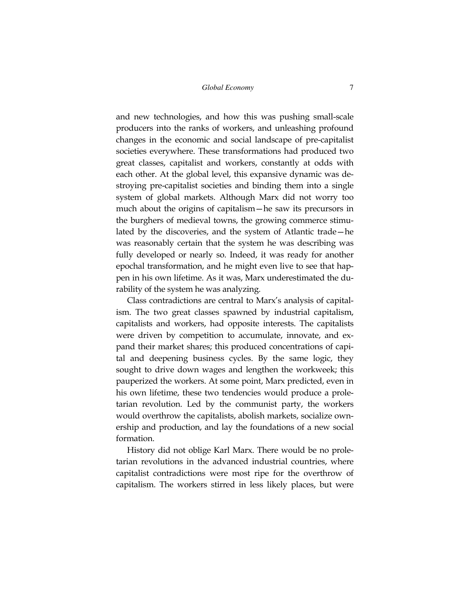and new technologies, and how this was pushing small-scale producers into the ranks of workers, and unleashing profound changes in the economic and social landscape of pre-capitalist societies everywhere. These transformations had produced two great classes, capitalist and workers, constantly at odds with each other. At the global level, this expansive dynamic was destroying pre-capitalist societies and binding them into a single system of global markets. Although Marx did not worry too much about the origins of capitalism—he saw its precursors in the burghers of medieval towns, the growing commerce stimulated by the discoveries, and the system of Atlantic trade-he was reasonably certain that the system he was describing was fully developed or nearly so. Indeed, it was ready for another epochal transformation, and he might even live to see that happen in his own lifetime. As it was, Marx underestimated the durability of the system he was analyzing.

Class contradictions are central to Marx's analysis of capitalism. The two great classes spawned by industrial capitalism, capitalists and workers, had opposite interests. The capitalists were driven by competition to accumulate, innovate, and expand their market shares; this produced concentrations of capital and deepening business cycles. By the same logic, they sought to drive down wages and lengthen the workweek; this pauperized the workers. At some point, Marx predicted, even in his own lifetime, these two tendencies would produce a proletarian revolution. Led by the communist party, the workers would overthrow the capitalists, abolish markets, socialize ownership and production, and lay the foundations of a new social formation.

History did not oblige Karl Marx. There would be no proletarian revolutions in the advanced industrial countries, where capitalist contradictions were most ripe for the overthrow of capitalism. The workers stirred in less likely places, but were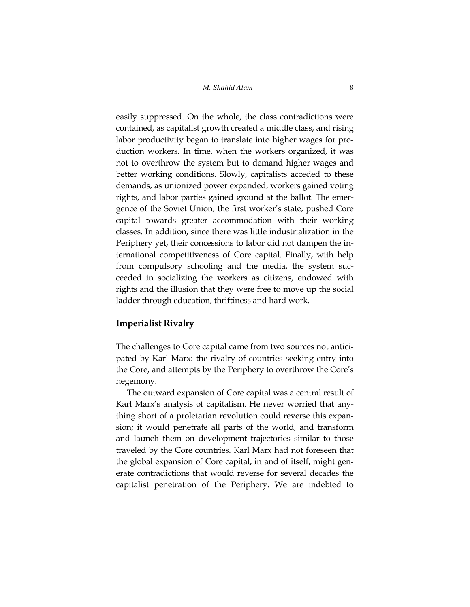easily suppressed. On the whole, the class contradictions were contained, as capitalist growth created a middle class, and rising labor productivity began to translate into higher wages for production workers. In time, when the workers organized, it was not to overthrow the system but to demand higher wages and better working conditions. Slowly, capitalists acceded to these demands, as unionized power expanded, workers gained voting rights, and labor parties gained ground at the ballot. The emergence of the Soviet Union, the first worker's state, pushed Core capital towards greater accommodation with their working classes. In addition, since there was little industrialization in the Periphery yet, their concessions to labor did not dampen the international competitiveness of Core capital. Finally, with help from compulsory schooling and the media, the system succeeded in socializing the workers as citizens, endowed with rights and the illusion that they were free to move up the social ladder through education, thriftiness and hard work.

#### **Imperialist Rivalry**

The challenges to Core capital came from two sources not anticipated by Karl Marx: the rivalry of countries seeking entry into the Core, and attempts by the Periphery to overthrow the Core's hegemony.

The outward expansion of Core capital was a central result of Karl Marx's analysis of capitalism. He never worried that anything short of a proletarian revolution could reverse this expansion; it would penetrate all parts of the world, and transform and launch them on development trajectories similar to those traveled by the Core countries. Karl Marx had not foreseen that the global expansion of Core capital, in and of itself, might generate contradictions that would reverse for several decades the capitalist penetration of the Periphery. We are indebted to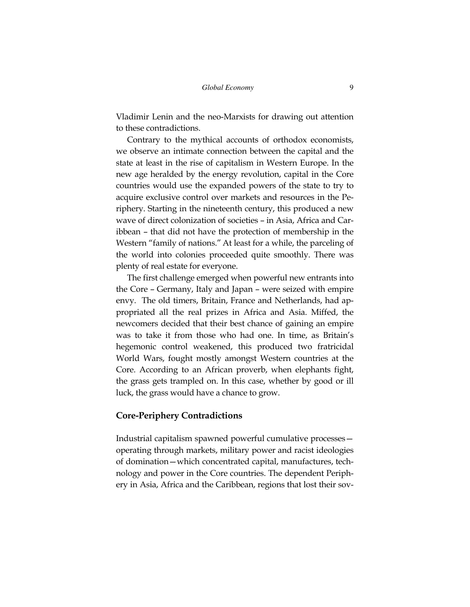Vladimir Lenin and the neo-Marxists for drawing out attention to these contradictions.

Contrary to the mythical accounts of orthodox economists, we observe an intimate connection between the capital and the state at least in the rise of capitalism in Western Europe. In the new age heralded by the energy revolution, capital in the Core countries would use the expanded powers of the state to try to acquire exclusive control over markets and resources in the Periphery. Starting in the nineteenth century, this produced a new wave of direct colonization of societies - in Asia, Africa and Caribbean - that did not have the protection of membership in the Western "family of nations." At least for a while, the parceling of the world into colonies proceeded quite smoothly. There was plenty of real estate for everyone.

The first challenge emerged when powerful new entrants into the Core – Germany, Italy and Japan – were seized with empire envy. The old timers, Britain, France and Netherlands, had appropriated all the real prizes in Africa and Asia. Miffed, the newcomers decided that their best chance of gaining an empire was to take it from those who had one. In time, as Britain's hegemonic control weakened, this produced two fratricidal World Wars, fought mostly amongst Western countries at the Core. According to an African proverb, when elephants fight, the grass gets trampled on. In this case, whether by good or ill luck, the grass would have a chance to grow.

### **Core-Periphery Contradictions**

Industrial capitalism spawned powerful cumulative processes operating through markets, military power and racist ideologies of domination - which concentrated capital, manufactures, technology and power in the Core countries. The dependent Periphery in Asia, Africa and the Caribbean, regions that lost their sov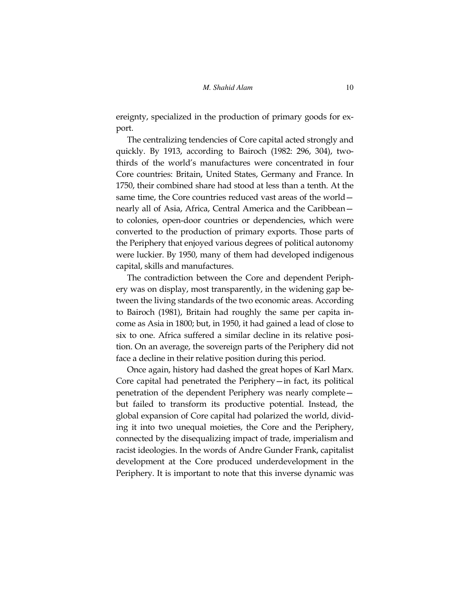ereignty, specialized in the production of primary goods for export.

The centralizing tendencies of Core capital acted strongly and quickly. By 1913, according to Bairoch (1982: 296, 304), twothirds of the world's manufactures were concentrated in four Core countries: Britain, United States, Germany and France. In 1750, their combined share had stood at less than a tenth. At the same time, the Core countries reduced vast areas of the world nearly all of Asia, Africa, Central America and the Caribbeanto colonies, open-door countries or dependencies, which were converted to the production of primary exports. Those parts of the Periphery that enjoyed various degrees of political autonomy were luckier. By 1950, many of them had developed indigenous capital, skills and manufactures.

The contradiction between the Core and dependent Periphery was on display, most transparently, in the widening gap between the living standards of the two economic areas. According to Bairoch (1981), Britain had roughly the same per capita income as Asia in 1800; but, in 1950, it had gained a lead of close to six to one. Africa suffered a similar decline in its relative position. On an average, the sovereign parts of the Periphery did not face a decline in their relative position during this period.

Once again, history had dashed the great hopes of Karl Marx. Core capital had penetrated the Periphery-in fact, its political penetration of the dependent Periphery was nearly complete but failed to transform its productive potential. Instead, the global expansion of Core capital had polarized the world, dividing it into two unequal moieties, the Core and the Periphery, connected by the disequalizing impact of trade, imperialism and racist ideologies. In the words of Andre Gunder Frank, capitalist development at the Core produced underdevelopment in the Periphery. It is important to note that this inverse dynamic was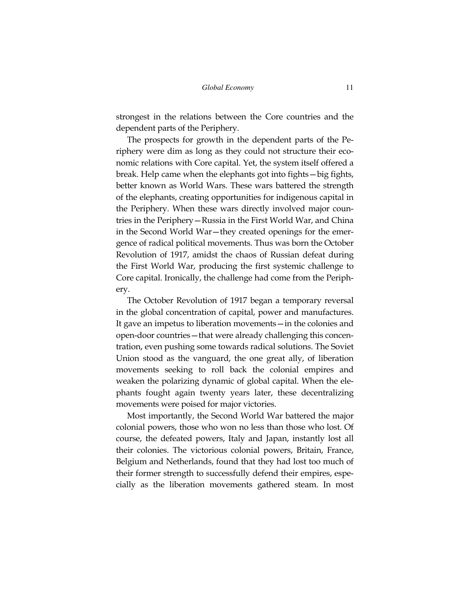strongest in the relations between the Core countries and the dependent parts of the Periphery.

The prospects for growth in the dependent parts of the Periphery were dim as long as they could not structure their economic relations with Core capital. Yet, the system itself offered a break. Help came when the elephants got into fights—big fights, better known as World Wars. These wars battered the strength of the elephants, creating opportunities for indigenous capital in the Periphery. When these wars directly involved major countries in the Periphery-Russia in the First World War, and China in the Second World War-they created openings for the emergence of radical political movements. Thus was born the October Revolution of 1917, amidst the chaos of Russian defeat during the First World War, producing the first systemic challenge to Core capital. Ironically, the challenge had come from the Periphery.

The October Revolution of 1917 began a temporary reversal in the global concentration of capital, power and manufactures. It gave an impetus to liberation movements - in the colonies and open-door countries - that were already challenging this concentration, even pushing some towards radical solutions. The Soviet Union stood as the vanguard, the one great ally, of liberation movements seeking to roll back the colonial empires and weaken the polarizing dynamic of global capital. When the elephants fought again twenty years later, these decentralizing movements were poised for major victories.

Most importantly, the Second World War battered the major colonial powers, those who won no less than those who lost. Of course, the defeated powers, Italy and Japan, instantly lost all their colonies. The victorious colonial powers, Britain, France, Belgium and Netherlands, found that they had lost too much of their former strength to successfully defend their empires, especially as the liberation movements gathered steam. In most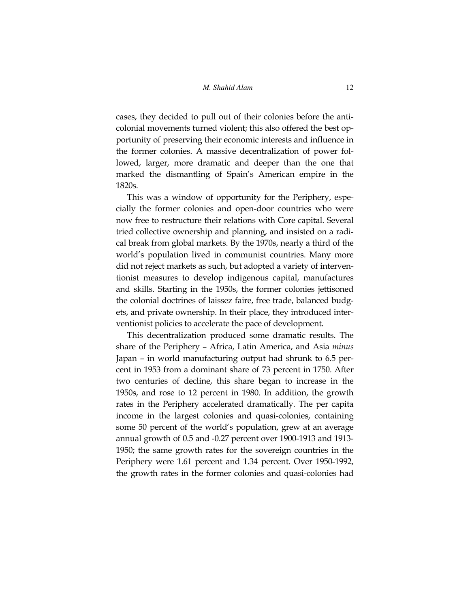cases, they decided to pull out of their colonies before the anticolonial movements turned violent; this also offered the best opportunity of preserving their economic interests and influence in the former colonies. A massive decentralization of power followed, larger, more dramatic and deeper than the one that marked the dismantling of Spain's American empire in the 1820s.

This was a window of opportunity for the Periphery, especially the former colonies and open-door countries who were now free to restructure their relations with Core capital. Several tried collective ownership and planning, and insisted on a radical break from global markets. By the 1970s, nearly a third of the world's population lived in communist countries. Many more did not reject markets as such, but adopted a variety of interventionist measures to develop indigenous capital, manufactures and skills. Starting in the 1950s, the former colonies jettisoned the colonial doctrines of laissez faire, free trade, balanced budgets, and private ownership. In their place, they introduced interventionist policies to accelerate the pace of development.

This decentralization produced some dramatic results. The share of the Periphery - Africa, Latin America, and Asia minus Japan - in world manufacturing output had shrunk to 6.5 percent in 1953 from a dominant share of 73 percent in 1750. After two centuries of decline, this share began to increase in the 1950s, and rose to 12 percent in 1980. In addition, the growth rates in the Periphery accelerated dramatically. The per capita income in the largest colonies and quasi-colonies, containing some 50 percent of the world's population, grew at an average annual growth of 0.5 and -0.27 percent over 1900-1913 and 1913-1950; the same growth rates for the sovereign countries in the Periphery were 1.61 percent and 1.34 percent. Over 1950-1992, the growth rates in the former colonies and quasi-colonies had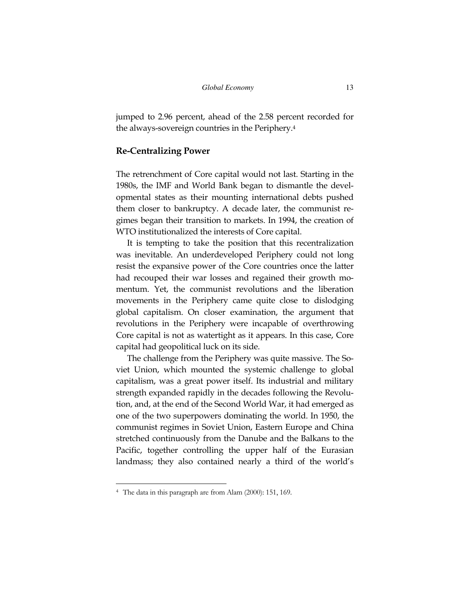jumped to 2.96 percent, ahead of the 2.58 percent recorded for the always-sovereign countries in the Periphery.<sup>4</sup>

# **Re-Centralizing Power**

The retrenchment of Core capital would not last. Starting in the 1980s, the IMF and World Bank began to dismantle the developmental states as their mounting international debts pushed them closer to bankruptcy. A decade later, the communist regimes began their transition to markets. In 1994, the creation of WTO institutionalized the interests of Core capital.

It is tempting to take the position that this recentralization was inevitable. An underdeveloped Periphery could not long resist the expansive power of the Core countries once the latter had recouped their war losses and regained their growth momentum. Yet, the communist revolutions and the liberation movements in the Periphery came quite close to dislodging global capitalism. On closer examination, the argument that revolutions in the Periphery were incapable of overthrowing Core capital is not as watertight as it appears. In this case, Core capital had geopolitical luck on its side.

The challenge from the Periphery was quite massive. The Soviet Union, which mounted the systemic challenge to global capitalism, was a great power itself. Its industrial and military strength expanded rapidly in the decades following the Revolution, and, at the end of the Second World War, it had emerged as one of the two superpowers dominating the world. In 1950, the communist regimes in Soviet Union, Eastern Europe and China stretched continuously from the Danube and the Balkans to the Pacific, together controlling the upper half of the Eurasian landmass; they also contained nearly a third of the world's

<sup>&</sup>lt;sup>4</sup> The data in this paragraph are from Alam (2000): 151, 169.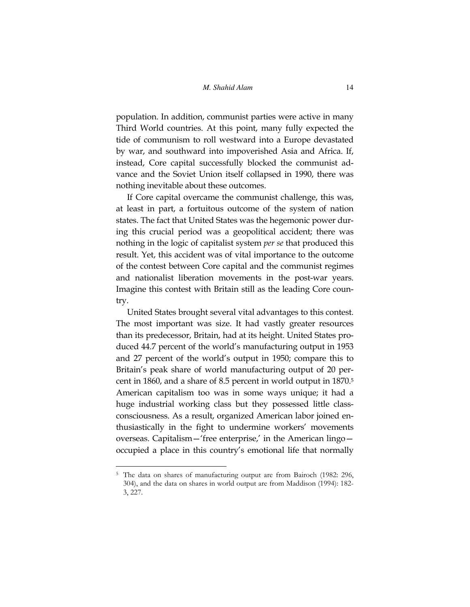population. In addition, communist parties were active in many Third World countries. At this point, many fully expected the tide of communism to roll westward into a Europe devastated by war, and southward into impoverished Asia and Africa. If, instead, Core capital successfully blocked the communist advance and the Soviet Union itself collapsed in 1990, there was nothing inevitable about these outcomes.

If Core capital overcame the communist challenge, this was, at least in part, a fortuitous outcome of the system of nation states. The fact that United States was the hegemonic power during this crucial period was a geopolitical accident; there was nothing in the logic of capitalist system per se that produced this result. Yet, this accident was of vital importance to the outcome of the contest between Core capital and the communist regimes and nationalist liberation movements in the post-war years. Imagine this contest with Britain still as the leading Core country.

United States brought several vital advantages to this contest. The most important was size. It had vastly greater resources than its predecessor, Britain, had at its height. United States produced 44.7 percent of the world's manufacturing output in 1953 and 27 percent of the world's output in 1950; compare this to Britain's peak share of world manufacturing output of 20 percent in 1860, and a share of 8.5 percent in world output in 1870.<sup>5</sup> American capitalism too was in some ways unique; it had a huge industrial working class but they possessed little classconsciousness. As a result, organized American labor joined enthusiastically in the fight to undermine workers' movements overseas. Capitalism - 'free enterprise,' in the American lingo occupied a place in this country's emotional life that normally

<sup>&</sup>lt;sup>5</sup> The data on shares of manufacturing output are from Bairoch (1982: 296, 304), and the data on shares in world output are from Maddison (1994): 182-3, 227.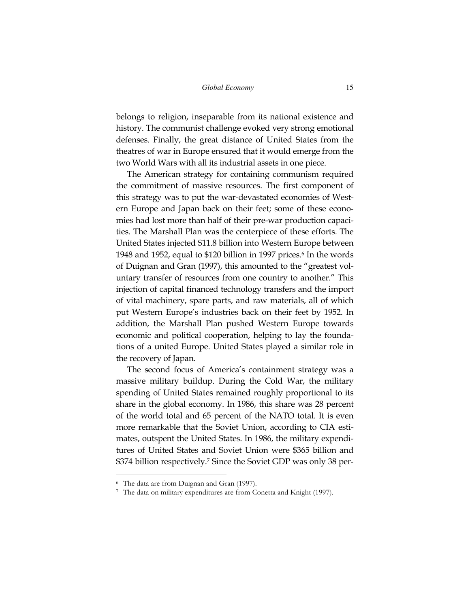belongs to religion, inseparable from its national existence and history. The communist challenge evoked very strong emotional defenses. Finally, the great distance of United States from the theatres of war in Europe ensured that it would emerge from the two World Wars with all its industrial assets in one piece.

The American strategy for containing communism required the commitment of massive resources. The first component of this strategy was to put the war-devastated economies of Western Europe and Japan back on their feet; some of these economies had lost more than half of their pre-war production capacities. The Marshall Plan was the centerpiece of these efforts. The United States injected \$11.8 billion into Western Europe between 1948 and 1952, equal to \$120 billion in 1997 prices.<sup>6</sup> In the words of Duignan and Gran (1997), this amounted to the "greatest voluntary transfer of resources from one country to another." This injection of capital financed technology transfers and the import of vital machinery, spare parts, and raw materials, all of which put Western Europe's industries back on their feet by 1952. In addition, the Marshall Plan pushed Western Europe towards economic and political cooperation, helping to lay the foundations of a united Europe. United States played a similar role in the recovery of Japan.

The second focus of America's containment strategy was a massive military buildup. During the Cold War, the military spending of United States remained roughly proportional to its share in the global economy. In 1986, this share was 28 percent of the world total and 65 percent of the NATO total. It is even more remarkable that the Soviet Union, according to CIA estimates, outspent the United States. In 1986, the military expenditures of United States and Soviet Union were \$365 billion and \$374 billion respectively.<sup>7</sup> Since the Soviet GDP was only 38 per-

<sup>&</sup>lt;sup>6</sup> The data are from Duignan and Gran (1997).

<sup>&</sup>lt;sup>7</sup> The data on military expenditures are from Conetta and Knight (1997).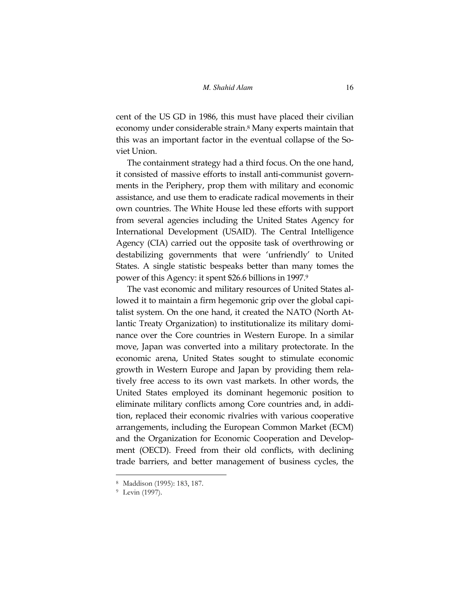cent of the US GD in 1986, this must have placed their civilian economy under considerable strain.<sup>8</sup> Many experts maintain that this was an important factor in the eventual collapse of the Soviet Union.

The containment strategy had a third focus. On the one hand, it consisted of massive efforts to install anti-communist governments in the Periphery, prop them with military and economic assistance, and use them to eradicate radical movements in their own countries. The White House led these efforts with support from several agencies including the United States Agency for International Development (USAID). The Central Intelligence Agency (CIA) carried out the opposite task of overthrowing or destabilizing governments that were 'unfriendly' to United States. A single statistic bespeaks better than many tomes the power of this Agency: it spent \$26.6 billions in 1997.9

The vast economic and military resources of United States allowed it to maintain a firm hegemonic grip over the global capitalist system. On the one hand, it created the NATO (North Atlantic Treaty Organization) to institutionalize its military dominance over the Core countries in Western Europe. In a similar move, Japan was converted into a military protectorate. In the economic arena, United States sought to stimulate economic growth in Western Europe and Japan by providing them relatively free access to its own vast markets. In other words, the United States employed its dominant hegemonic position to eliminate military conflicts among Core countries and, in addition, replaced their economic rivalries with various cooperative arrangements, including the European Common Market (ECM) and the Organization for Economic Cooperation and Development (OECD). Freed from their old conflicts, with declining trade barriers, and better management of business cycles, the

<sup>8</sup> Maddison (1995): 183, 187.

<sup>&</sup>lt;sup>9</sup> Levin (1997).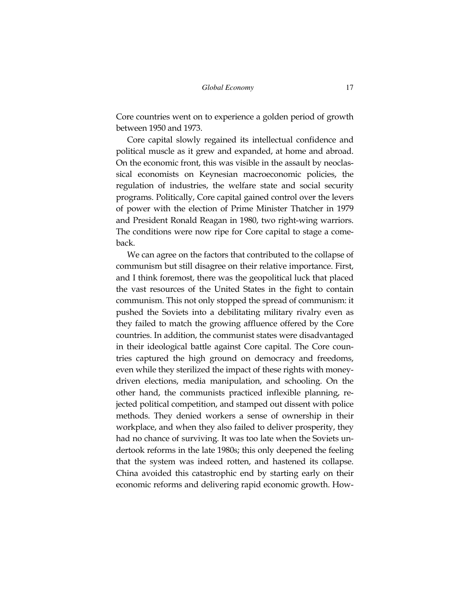Core countries went on to experience a golden period of growth between 1950 and 1973.

Core capital slowly regained its intellectual confidence and political muscle as it grew and expanded, at home and abroad. On the economic front, this was visible in the assault by neoclassical economists on Keynesian macroeconomic policies, the regulation of industries, the welfare state and social security programs. Politically, Core capital gained control over the levers of power with the election of Prime Minister Thatcher in 1979 and President Ronald Reagan in 1980, two right-wing warriors. The conditions were now ripe for Core capital to stage a comeback.

We can agree on the factors that contributed to the collapse of communism but still disagree on their relative importance. First, and I think foremost, there was the geopolitical luck that placed the vast resources of the United States in the fight to contain communism. This not only stopped the spread of communism: it pushed the Soviets into a debilitating military rivalry even as they failed to match the growing affluence offered by the Core countries. In addition, the communist states were disadvantaged in their ideological battle against Core capital. The Core countries captured the high ground on democracy and freedoms, even while they sterilized the impact of these rights with moneydriven elections, media manipulation, and schooling. On the other hand, the communists practiced inflexible planning, rejected political competition, and stamped out dissent with police methods. They denied workers a sense of ownership in their workplace, and when they also failed to deliver prosperity, they had no chance of surviving. It was too late when the Soviets undertook reforms in the late 1980s; this only deepened the feeling that the system was indeed rotten, and hastened its collapse. China avoided this catastrophic end by starting early on their economic reforms and delivering rapid economic growth. How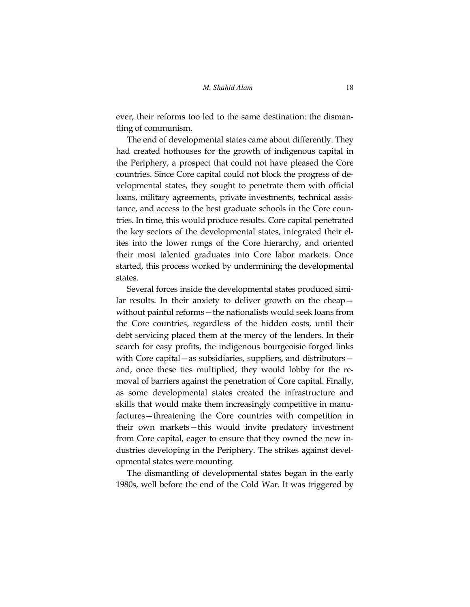ever, their reforms too led to the same destination: the dismantling of communism.

The end of developmental states came about differently. They had created hothouses for the growth of indigenous capital in the Periphery, a prospect that could not have pleased the Core countries. Since Core capital could not block the progress of developmental states, they sought to penetrate them with official loans, military agreements, private investments, technical assistance, and access to the best graduate schools in the Core countries. In time, this would produce results. Core capital penetrated the key sectors of the developmental states, integrated their elites into the lower rungs of the Core hierarchy, and oriented their most talented graduates into Core labor markets. Once started, this process worked by undermining the developmental states.

Several forces inside the developmental states produced similar results. In their anxiety to deliver growth on the cheapwithout painful reforms - the nationalists would seek loans from the Core countries, regardless of the hidden costs, until their debt servicing placed them at the mercy of the lenders. In their search for easy profits, the indigenous bourgeoisie forged links with Core capital - as subsidiaries, suppliers, and distributors and, once these ties multiplied, they would lobby for the removal of barriers against the penetration of Core capital. Finally, as some developmental states created the infrastructure and skills that would make them increasingly competitive in manufactures-threatening the Core countries with competition in their own markets-this would invite predatory investment from Core capital, eager to ensure that they owned the new industries developing in the Periphery. The strikes against developmental states were mounting.

The dismantling of developmental states began in the early 1980s, well before the end of the Cold War. It was triggered by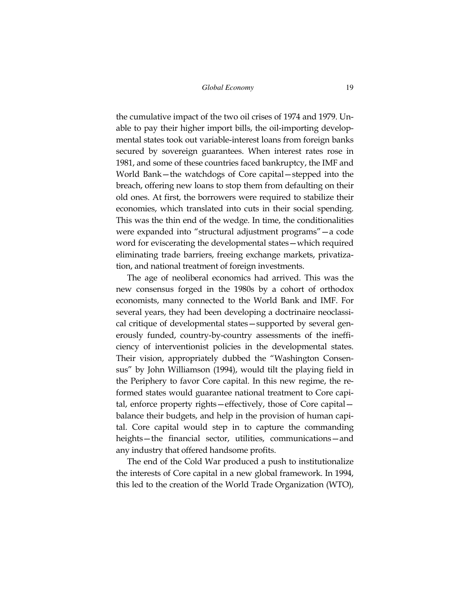the cumulative impact of the two oil crises of 1974 and 1979. Unable to pay their higher import bills, the oil-importing developmental states took out variable-interest loans from foreign banks secured by sovereign guarantees. When interest rates rose in 1981, and some of these countries faced bankruptcy, the IMF and World Bank-the watchdogs of Core capital-stepped into the breach, offering new loans to stop them from defaulting on their old ones. At first, the borrowers were required to stabilize their economies, which translated into cuts in their social spending. This was the thin end of the wedge. In time, the conditionalities were expanded into "structural adjustment programs" - a code word for eviscerating the developmental states - which required eliminating trade barriers, freeing exchange markets, privatization, and national treatment of foreign investments.

The age of neoliberal economics had arrived. This was the new consensus forged in the 1980s by a cohort of orthodox economists, many connected to the World Bank and IMF. For several years, they had been developing a doctrinaire neoclassical critique of developmental states - supported by several generously funded, country-by-country assessments of the inefficiency of interventionist policies in the developmental states. Their vision, appropriately dubbed the "Washington Consensus" by John Williamson (1994), would tilt the playing field in the Periphery to favor Core capital. In this new regime, the reformed states would guarantee national treatment to Core capital, enforce property rights-effectively, those of Core capitalbalance their budgets, and help in the provision of human capital. Core capital would step in to capture the commanding heights-the financial sector, utilities, communications-and any industry that offered handsome profits.

The end of the Cold War produced a push to institutionalize the interests of Core capital in a new global framework. In 1994, this led to the creation of the World Trade Organization (WTO),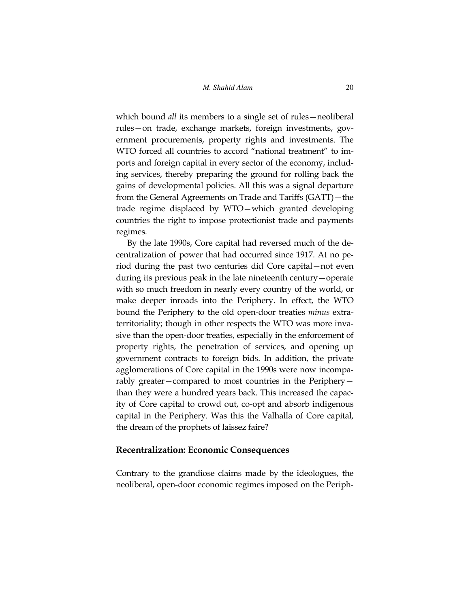which bound *all* its members to a single set of rules - neoliberal rules-on trade, exchange markets, foreign investments, government procurements, property rights and investments. The WTO forced all countries to accord "national treatment" to imports and foreign capital in every sector of the economy, including services, thereby preparing the ground for rolling back the gains of developmental policies. All this was a signal departure from the General Agreements on Trade and Tariffs (GATT) - the trade regime displaced by WTO-which granted developing countries the right to impose protectionist trade and payments regimes.

By the late 1990s, Core capital had reversed much of the decentralization of power that had occurred since 1917. At no period during the past two centuries did Core capital—not even during its previous peak in the late nineteenth century - operate with so much freedom in nearly every country of the world, or make deeper inroads into the Periphery. In effect, the WTO bound the Periphery to the old open-door treaties minus extraterritoriality; though in other respects the WTO was more invasive than the open-door treaties, especially in the enforcement of property rights, the penetration of services, and opening up government contracts to foreign bids. In addition, the private agglomerations of Core capital in the 1990s were now incomparably greater-compared to most countries in the Peripherythan they were a hundred years back. This increased the capacity of Core capital to crowd out, co-opt and absorb indigenous capital in the Periphery. Was this the Valhalla of Core capital, the dream of the prophets of laissez faire?

#### **Recentralization: Economic Consequences**

Contrary to the grandiose claims made by the ideologues, the neoliberal, open-door economic regimes imposed on the Periph-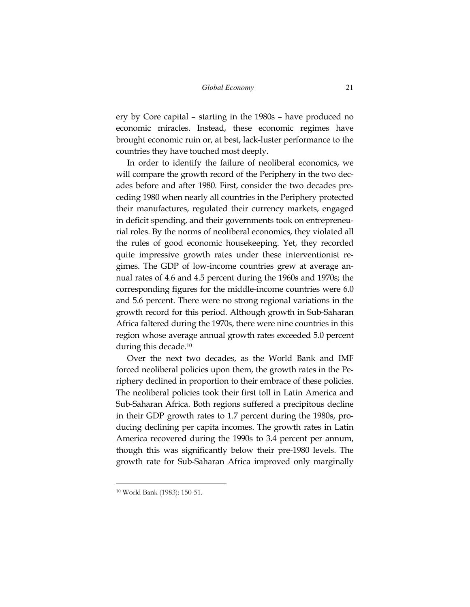#### **Global Economy**

ery by Core capital – starting in the 1980s – have produced no economic miracles. Instead, these economic regimes have brought economic ruin or, at best, lack-luster performance to the countries they have touched most deeply.

In order to identify the failure of neoliberal economics, we will compare the growth record of the Periphery in the two decades before and after 1980. First, consider the two decades preceding 1980 when nearly all countries in the Periphery protected their manufactures, regulated their currency markets, engaged in deficit spending, and their governments took on entrepreneurial roles. By the norms of neoliberal economics, they violated all the rules of good economic housekeeping. Yet, they recorded quite impressive growth rates under these interventionist regimes. The GDP of low-income countries grew at average annual rates of 4.6 and 4.5 percent during the 1960s and 1970s; the corresponding figures for the middle-income countries were 6.0 and 5.6 percent. There were no strong regional variations in the growth record for this period. Although growth in Sub-Saharan Africa faltered during the 1970s, there were nine countries in this region whose average annual growth rates exceeded 5.0 percent during this decade.<sup>10</sup>

Over the next two decades, as the World Bank and IMF forced neoliberal policies upon them, the growth rates in the Periphery declined in proportion to their embrace of these policies. The neoliberal policies took their first toll in Latin America and Sub-Saharan Africa. Both regions suffered a precipitous decline in their GDP growth rates to 1.7 percent during the 1980s, producing declining per capita incomes. The growth rates in Latin America recovered during the 1990s to 3.4 percent per annum, though this was significantly below their pre-1980 levels. The growth rate for Sub-Saharan Africa improved only marginally

<sup>&</sup>lt;sup>10</sup> World Bank (1983): 150-51.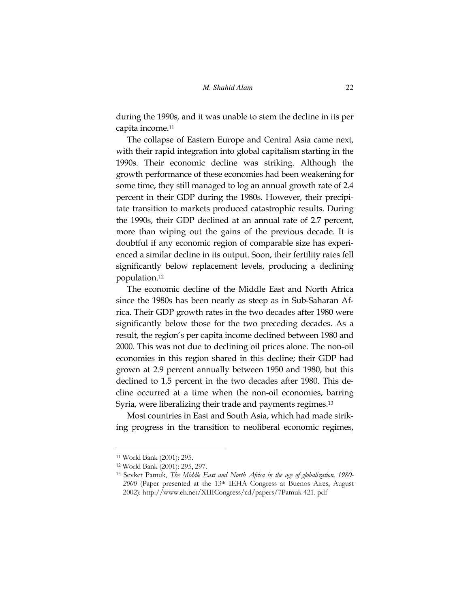during the 1990s, and it was unable to stem the decline in its per capita income.<sup>11</sup>

The collapse of Eastern Europe and Central Asia came next, with their rapid integration into global capitalism starting in the 1990s. Their economic decline was striking. Although the growth performance of these economies had been weakening for some time, they still managed to log an annual growth rate of 2.4 percent in their GDP during the 1980s. However, their precipitate transition to markets produced catastrophic results. During the 1990s, their GDP declined at an annual rate of 2.7 percent, more than wiping out the gains of the previous decade. It is doubtful if any economic region of comparable size has experienced a similar decline in its output. Soon, their fertility rates fell significantly below replacement levels, producing a declining population.<sup>12</sup>

The economic decline of the Middle East and North Africa since the 1980s has been nearly as steep as in Sub-Saharan Africa. Their GDP growth rates in the two decades after 1980 were significantly below those for the two preceding decades. As a result, the region's per capita income declined between 1980 and 2000. This was not due to declining oil prices alone. The non-oil economies in this region shared in this decline; their GDP had grown at 2.9 percent annually between 1950 and 1980, but this declined to 1.5 percent in the two decades after 1980. This decline occurred at a time when the non-oil economies, barring Syria, were liberalizing their trade and payments regimes.<sup>13</sup>

Most countries in East and South Asia, which had made striking progress in the transition to neoliberal economic regimes,

<sup>&</sup>lt;sup>11</sup> World Bank (2001): 295.

<sup>&</sup>lt;sup>12</sup> World Bank (2001): 295, 297.

<sup>&</sup>lt;sup>13</sup> Sevket Pamuk, The Middle East and North Africa in the age of globalization, 1980-2000 (Paper presented at the 13<sup>th</sup> IEHA Congress at Buenos Aires, August 2002): http://www.eh.net/XIIICongress/cd/papers/7Pamuk 421. pdf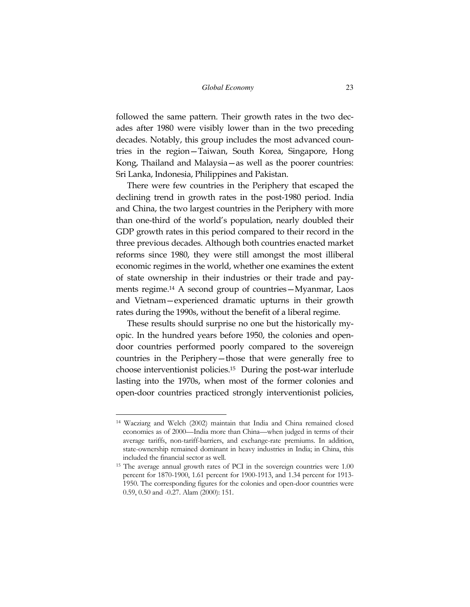followed the same pattern. Their growth rates in the two decades after 1980 were visibly lower than in the two preceding decades. Notably, this group includes the most advanced countries in the region-Taiwan, South Korea, Singapore, Hong Kong, Thailand and Malaysia - as well as the poorer countries: Sri Lanka, Indonesia, Philippines and Pakistan.

There were few countries in the Periphery that escaped the declining trend in growth rates in the post-1980 period. India and China, the two largest countries in the Periphery with more than one-third of the world's population, nearly doubled their GDP growth rates in this period compared to their record in the three previous decades. Although both countries enacted market reforms since 1980, they were still amongst the most illiberal economic regimes in the world, whether one examines the extent of state ownership in their industries or their trade and payments regime.<sup>14</sup> A second group of countries-Myanmar, Laos and Vietnam-experienced dramatic upturns in their growth rates during the 1990s, without the benefit of a liberal regime.

These results should surprise no one but the historically myopic. In the hundred years before 1950, the colonies and opendoor countries performed poorly compared to the sovereign countries in the Periphery-those that were generally free to choose interventionist policies.<sup>15</sup> During the post-war interlude lasting into the 1970s, when most of the former colonies and open-door countries practiced strongly interventionist policies,

<sup>&</sup>lt;sup>14</sup> Wacziarg and Welch (2002) maintain that India and China remained closed economies as of 2000—India more than China—when judged in terms of their average tariffs, non-tariff-barriers, and exchange-rate premiums. In addition, state-ownership remained dominant in heavy industries in India; in China, this included the financial sector as well.

<sup>&</sup>lt;sup>15</sup> The average annual growth rates of PCI in the sovereign countries were 1.00 percent for 1870-1900, 1.61 percent for 1900-1913, and 1.34 percent for 1913-1950. The corresponding figures for the colonies and open-door countries were 0.59, 0.50 and -0.27. Alam (2000): 151.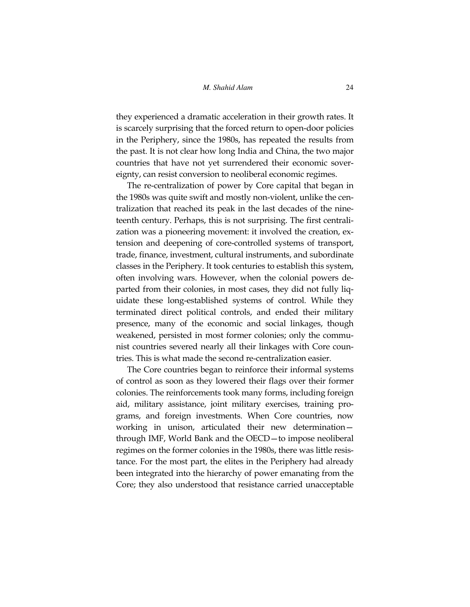they experienced a dramatic acceleration in their growth rates. It is scarcely surprising that the forced return to open-door policies in the Periphery, since the 1980s, has repeated the results from the past. It is not clear how long India and China, the two major countries that have not yet surrendered their economic sovereignty, can resist conversion to neoliberal economic regimes.

The re-centralization of power by Core capital that began in the 1980s was quite swift and mostly non-violent, unlike the centralization that reached its peak in the last decades of the nineteenth century. Perhaps, this is not surprising. The first centralization was a pioneering movement: it involved the creation, extension and deepening of core-controlled systems of transport, trade, finance, investment, cultural instruments, and subordinate classes in the Periphery. It took centuries to establish this system, often involving wars. However, when the colonial powers departed from their colonies, in most cases, they did not fully liquidate these long-established systems of control. While they terminated direct political controls, and ended their military presence, many of the economic and social linkages, though weakened, persisted in most former colonies; only the communist countries severed nearly all their linkages with Core countries. This is what made the second re-centralization easier.

The Core countries began to reinforce their informal systems of control as soon as they lowered their flags over their former colonies. The reinforcements took many forms, including foreign aid, military assistance, joint military exercises, training programs, and foreign investments. When Core countries, now working in unison, articulated their new determinationthrough IMF, World Bank and the OECD-to impose neoliberal regimes on the former colonies in the 1980s, there was little resistance. For the most part, the elites in the Periphery had already been integrated into the hierarchy of power emanating from the Core; they also understood that resistance carried unacceptable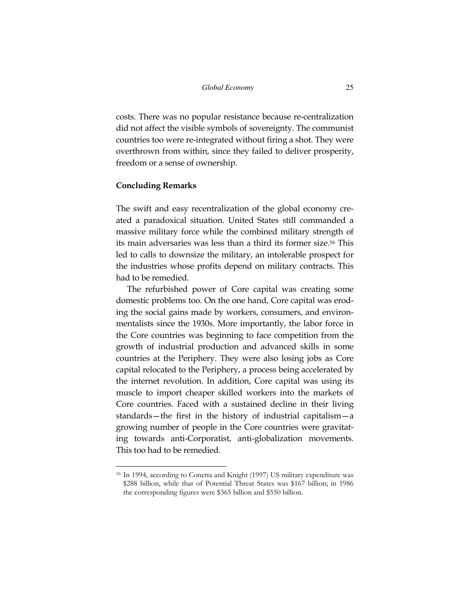costs. There was no popular resistance because re-centralization did not affect the visible symbols of sovereignty. The communist countries too were re-integrated without firing a shot. They were overthrown from within, since they failed to deliver prosperity, freedom or a sense of ownership.

### **Concluding Remarks**

The swift and easy recentralization of the global economy created a paradoxical situation. United States still commanded a massive military force while the combined military strength of its main adversaries was less than a third its former size.<sup>16</sup> This led to calls to downsize the military, an intolerable prospect for the industries whose profits depend on military contracts. This had to be remedied.

The refurbished power of Core capital was creating some domestic problems too. On the one hand, Core capital was eroding the social gains made by workers, consumers, and environmentalists since the 1930s. More importantly, the labor force in the Core countries was beginning to face competition from the growth of industrial production and advanced skills in some countries at the Periphery. They were also losing jobs as Core capital relocated to the Periphery, a process being accelerated by the internet revolution. In addition, Core capital was using its muscle to import cheaper skilled workers into the markets of Core countries. Faced with a sustained decline in their living standards—the first in the history of industrial capitalism—a growing number of people in the Core countries were gravitating towards anti-Corporatist, anti-globalization movements. This too had to be remedied.

<sup>&</sup>lt;sup>16</sup> In 1994, according to Conetta and Knight (1997) US military expenditure was \$288 billion, while that of Potential Threat States was \$167 billion; in 1986 the corresponding figures were \$365 billion and \$550 billion.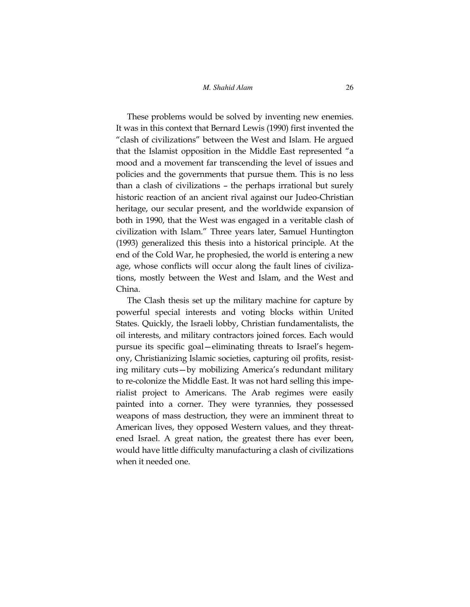#### M. Shahid Alam

These problems would be solved by inventing new enemies. It was in this context that Bernard Lewis (1990) first invented the "clash of civilizations" between the West and Islam. He argued that the Islamist opposition in the Middle East represented "a mood and a movement far transcending the level of issues and policies and the governments that pursue them. This is no less than a clash of civilizations - the perhaps irrational but surely historic reaction of an ancient rival against our Judeo-Christian heritage, our secular present, and the worldwide expansion of both in 1990, that the West was engaged in a veritable clash of civilization with Islam." Three years later, Samuel Huntington (1993) generalized this thesis into a historical principle. At the end of the Cold War, he prophesied, the world is entering a new age, whose conflicts will occur along the fault lines of civilizations, mostly between the West and Islam, and the West and China.

The Clash thesis set up the military machine for capture by powerful special interests and voting blocks within United States. Quickly, the Israeli lobby, Christian fundamentalists, the oil interests, and military contractors joined forces. Each would pursue its specific goal—eliminating threats to Israel's hegemony, Christianizing Islamic societies, capturing oil profits, resisting military cuts-by mobilizing America's redundant military to re-colonize the Middle East. It was not hard selling this imperialist project to Americans. The Arab regimes were easily painted into a corner. They were tyrannies, they possessed weapons of mass destruction, they were an imminent threat to American lives, they opposed Western values, and they threatened Israel. A great nation, the greatest there has ever been, would have little difficulty manufacturing a clash of civilizations when it needed one.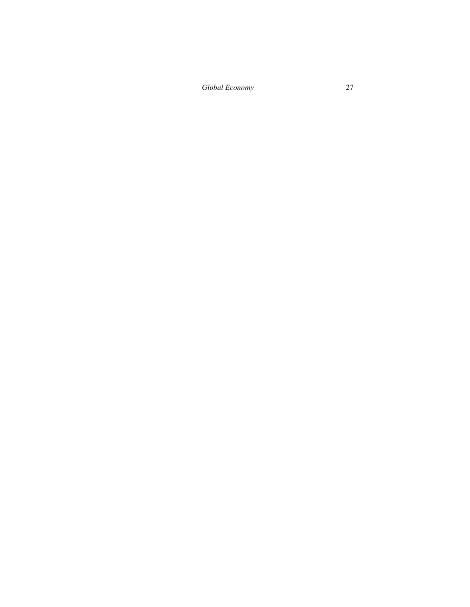*Global Economy* 27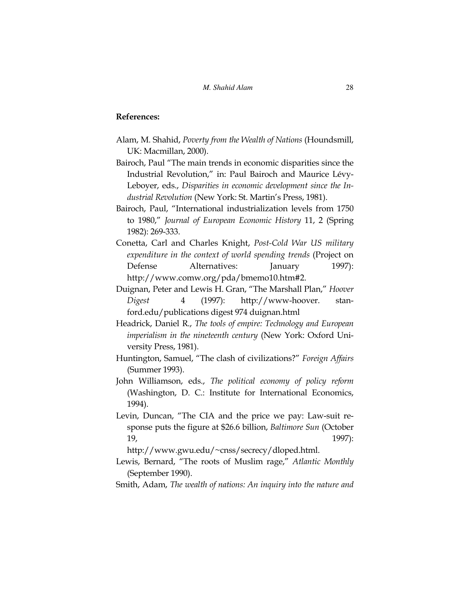#### References:

- Alam, M. Shahid, Poverty from the Wealth of Nations (Houndsmill, UK: Macmillan, 2000).
- Bairoch, Paul "The main trends in economic disparities since the Industrial Revolution," in: Paul Bairoch and Maurice Lévy-Leboyer, eds., Disparities in economic development since the Industrial Revolution (New York: St. Martin's Press, 1981).
- Bairoch, Paul, "International industrialization levels from 1750 to 1980," Journal of European Economic History 11, 2 (Spring 1982): 269-333.
- Conetta, Carl and Charles Knight, Post-Cold War US military expenditure in the context of world spending trends (Project on Alternatives: Defense January 1997): http://www.comw.org/pda/bmemo10.htm#2.
- Duignan, Peter and Lewis H. Gran, "The Marshall Plan," Hoover Digest  $(1997)$ : http://www-hoover.  $\overline{4}$ stanford.edu/publications digest 974 duignan.html
- Headrick, Daniel R., The tools of empire: Technology and European imperialism in the nineteenth century (New York: Oxford University Press, 1981).
- Huntington, Samuel, "The clash of civilizations?" Foreign Affairs (Summer 1993).
- John Williamson, eds., The political economy of policy reform (Washington, D. C.: Institute for International Economics, 1994).
- Levin, Duncan, "The CIA and the price we pay: Law-suit response puts the figure at \$26.6 billion, Baltimore Sun (October 19,  $1997$ :

http://www.gwu.edu/~cnss/secrecy/dloped.html.

- Lewis, Bernard, "The roots of Muslim rage," Atlantic Monthly (September 1990).
- Smith, Adam, The wealth of nations: An inquiry into the nature and